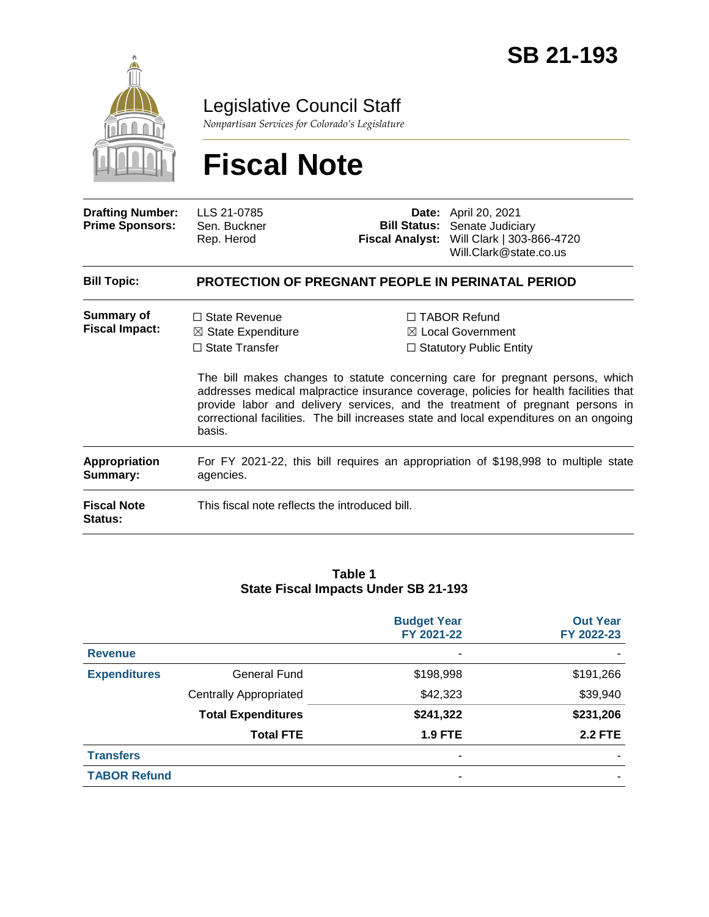

Legislative Council Staff

*Nonpartisan Services for Colorado's Legislature*

# **Fiscal Note**

| <b>Drafting Number:</b><br><b>Prime Sponsors:</b> | LLS 21-0785<br>Sen. Buckner<br>Rep. Herod                                                       |  | <b>Date:</b> April 20, 2021<br><b>Bill Status:</b> Senate Judiciary<br>Fiscal Analyst: Will Clark   303-866-4720<br>Will.Clark@state.co.us                                                                                                                                                                                                                                                                                                 |  |  |  |
|---------------------------------------------------|-------------------------------------------------------------------------------------------------|--|--------------------------------------------------------------------------------------------------------------------------------------------------------------------------------------------------------------------------------------------------------------------------------------------------------------------------------------------------------------------------------------------------------------------------------------------|--|--|--|
| <b>Bill Topic:</b>                                | <b>PROTECTION OF PREGNANT PEOPLE IN PERINATAL PERIOD</b>                                        |  |                                                                                                                                                                                                                                                                                                                                                                                                                                            |  |  |  |
| Summary of<br><b>Fiscal Impact:</b>               | $\Box$ State Revenue<br>$\boxtimes$ State Expenditure<br>$\Box$ State Transfer<br>basis.        |  | $\Box$ TABOR Refund<br>$\boxtimes$ Local Government<br>$\Box$ Statutory Public Entity<br>The bill makes changes to statute concerning care for pregnant persons, which<br>addresses medical malpractice insurance coverage, policies for health facilities that<br>provide labor and delivery services, and the treatment of pregnant persons in<br>correctional facilities. The bill increases state and local expenditures on an ongoing |  |  |  |
| <b>Appropriation</b><br>Summary:                  | For FY 2021-22, this bill requires an appropriation of \$198,998 to multiple state<br>agencies. |  |                                                                                                                                                                                                                                                                                                                                                                                                                                            |  |  |  |
| <b>Fiscal Note</b><br>Status:                     | This fiscal note reflects the introduced bill.                                                  |  |                                                                                                                                                                                                                                                                                                                                                                                                                                            |  |  |  |

#### **Table 1 State Fiscal Impacts Under SB 21-193**

|                     |                               | <b>Budget Year</b><br>FY 2021-22 | <b>Out Year</b><br>FY 2022-23 |
|---------------------|-------------------------------|----------------------------------|-------------------------------|
| <b>Revenue</b>      |                               |                                  |                               |
| <b>Expenditures</b> | <b>General Fund</b>           | \$198,998                        | \$191,266                     |
|                     | <b>Centrally Appropriated</b> | \$42,323                         | \$39,940                      |
|                     | <b>Total Expenditures</b>     | \$241,322                        | \$231,206                     |
|                     | <b>Total FTE</b>              | <b>1.9 FTE</b>                   | <b>2.2 FTE</b>                |
| <b>Transfers</b>    |                               | -                                |                               |
| <b>TABOR Refund</b> |                               |                                  |                               |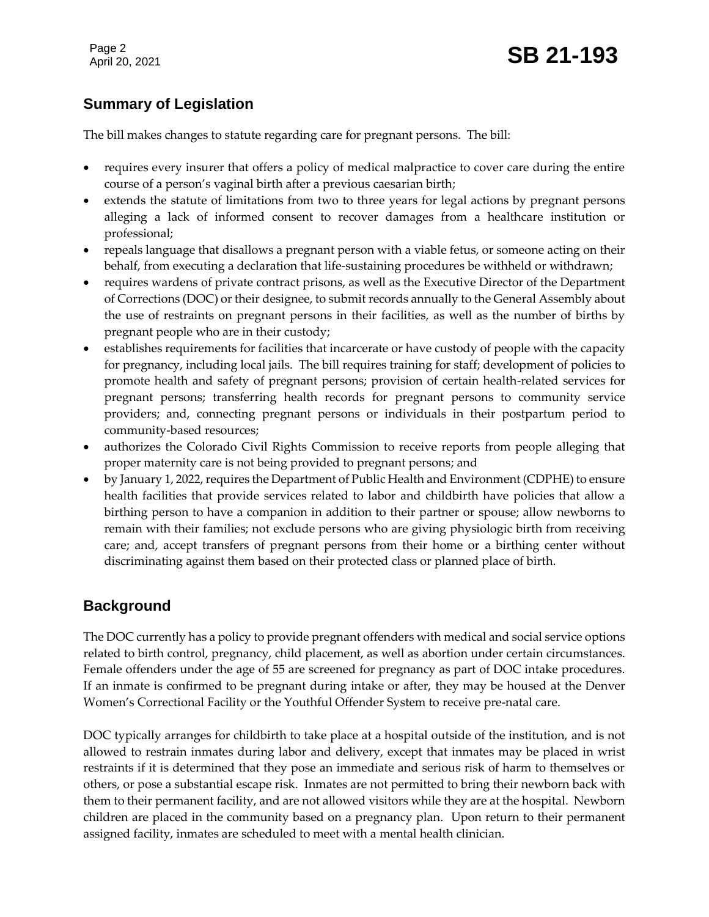Page 2

## Page 2<br>April 20, 2021 **SB 21-193**

## **Summary of Legislation**

The bill makes changes to statute regarding care for pregnant persons. The bill:

- requires every insurer that offers a policy of medical malpractice to cover care during the entire course of a person's vaginal birth after a previous caesarian birth;
- extends the statute of limitations from two to three years for legal actions by pregnant persons alleging a lack of informed consent to recover damages from a healthcare institution or professional;
- repeals language that disallows a pregnant person with a viable fetus, or someone acting on their behalf, from executing a declaration that life-sustaining procedures be withheld or withdrawn;
- requires wardens of private contract prisons, as well as the Executive Director of the Department of Corrections (DOC) or their designee, to submit records annually to the General Assembly about the use of restraints on pregnant persons in their facilities, as well as the number of births by pregnant people who are in their custody;
- establishes requirements for facilities that incarcerate or have custody of people with the capacity for pregnancy, including local jails. The bill requires training for staff; development of policies to promote health and safety of pregnant persons; provision of certain health-related services for pregnant persons; transferring health records for pregnant persons to community service providers; and, connecting pregnant persons or individuals in their postpartum period to community-based resources;
- authorizes the Colorado Civil Rights Commission to receive reports from people alleging that proper maternity care is not being provided to pregnant persons; and
- by January 1, 2022, requires the Department of Public Health and Environment (CDPHE) to ensure health facilities that provide services related to labor and childbirth have policies that allow a birthing person to have a companion in addition to their partner or spouse; allow newborns to remain with their families; not exclude persons who are giving physiologic birth from receiving care; and, accept transfers of pregnant persons from their home or a birthing center without discriminating against them based on their protected class or planned place of birth.

### **Background**

The DOC currently has a policy to provide pregnant offenders with medical and social service options related to birth control, pregnancy, child placement, as well as abortion under certain circumstances. Female offenders under the age of 55 are screened for pregnancy as part of DOC intake procedures. If an inmate is confirmed to be pregnant during intake or after, they may be housed at the Denver Women's Correctional Facility or the Youthful Offender System to receive pre-natal care.

DOC typically arranges for childbirth to take place at a hospital outside of the institution, and is not allowed to restrain inmates during labor and delivery, except that inmates may be placed in wrist restraints if it is determined that they pose an immediate and serious risk of harm to themselves or others, or pose a substantial escape risk. Inmates are not permitted to bring their newborn back with them to their permanent facility, and are not allowed visitors while they are at the hospital. Newborn children are placed in the community based on a pregnancy plan. Upon return to their permanent assigned facility, inmates are scheduled to meet with a mental health clinician.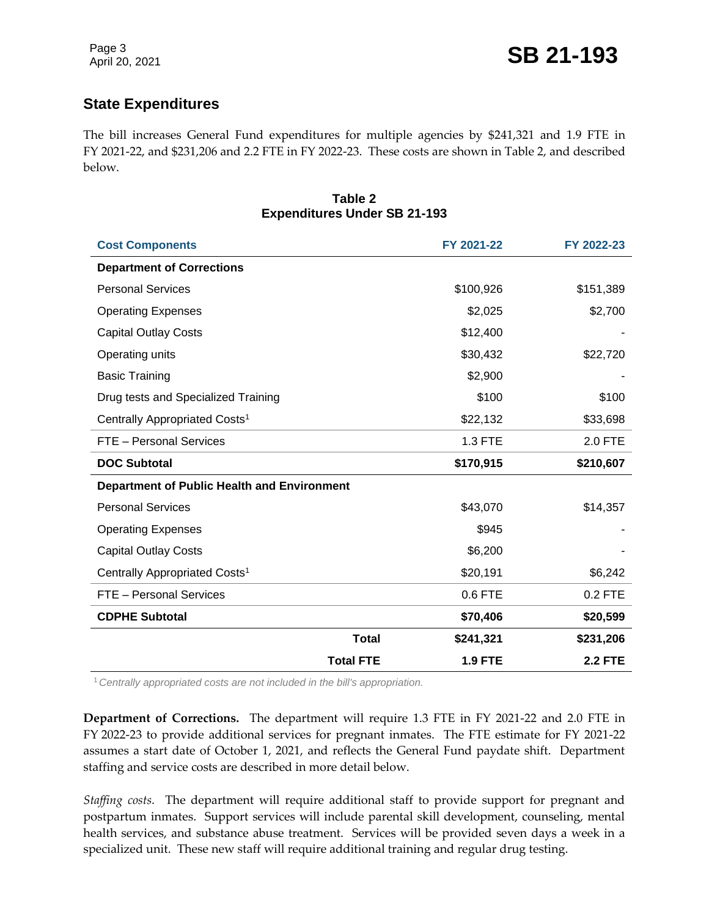## **State Expenditures**

The bill increases General Fund expenditures for multiple agencies by \$241,321 and 1.9 FTE in FY 2021-22, and \$231,206 and 2.2 FTE in FY 2022-23. These costs are shown in Table 2, and described below.

#### **Table 2 Expenditures Under SB 21-193**

| <b>Cost Components</b>                             |                  | FY 2021-22     | FY 2022-23     |
|----------------------------------------------------|------------------|----------------|----------------|
| <b>Department of Corrections</b>                   |                  |                |                |
| <b>Personal Services</b>                           |                  | \$100,926      | \$151,389      |
| <b>Operating Expenses</b>                          |                  | \$2,025        | \$2,700        |
| <b>Capital Outlay Costs</b>                        |                  | \$12,400       |                |
| Operating units                                    |                  | \$30,432       | \$22,720       |
| <b>Basic Training</b>                              |                  | \$2,900        |                |
| Drug tests and Specialized Training                |                  | \$100          | \$100          |
| Centrally Appropriated Costs <sup>1</sup>          |                  | \$22,132       | \$33,698       |
| FTE - Personal Services                            |                  | 1.3 FTE        | 2.0 FTE        |
| <b>DOC Subtotal</b>                                |                  | \$170,915      | \$210,607      |
| <b>Department of Public Health and Environment</b> |                  |                |                |
| <b>Personal Services</b>                           |                  | \$43,070       | \$14,357       |
| <b>Operating Expenses</b>                          |                  | \$945          |                |
| <b>Capital Outlay Costs</b>                        |                  | \$6,200        |                |
| Centrally Appropriated Costs <sup>1</sup>          |                  | \$20,191       | \$6,242        |
| FTE - Personal Services                            |                  | 0.6 FTE        | 0.2 FTE        |
| <b>CDPHE Subtotal</b>                              |                  | \$70,406       | \$20,599       |
|                                                    | <b>Total</b>     | \$241,321      | \$231,206      |
|                                                    | <b>Total FTE</b> | <b>1.9 FTE</b> | <b>2.2 FTE</b> |

<sup>1</sup>*Centrally appropriated costs are not included in the bill's appropriation.*

**Department of Corrections.** The department will require 1.3 FTE in FY 2021-22 and 2.0 FTE in FY 2022-23 to provide additional services for pregnant inmates. The FTE estimate for FY 2021-22 assumes a start date of October 1, 2021, and reflects the General Fund paydate shift. Department staffing and service costs are described in more detail below.

*Staffing costs*. The department will require additional staff to provide support for pregnant and postpartum inmates. Support services will include parental skill development, counseling, mental health services, and substance abuse treatment. Services will be provided seven days a week in a specialized unit. These new staff will require additional training and regular drug testing.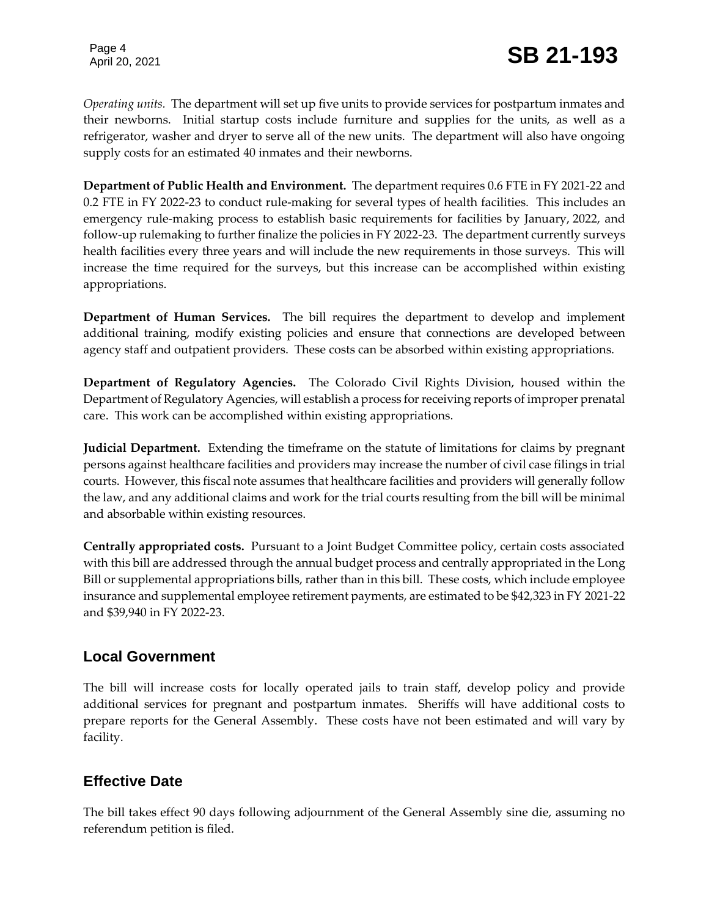*Operating units.* The department will set up five units to provide services for postpartum inmates and their newborns. Initial startup costs include furniture and supplies for the units, as well as a refrigerator, washer and dryer to serve all of the new units. The department will also have ongoing supply costs for an estimated 40 inmates and their newborns.

**Department of Public Health and Environment.** The department requires 0.6 FTE in FY 2021-22 and 0.2 FTE in FY 2022-23 to conduct rule-making for several types of health facilities. This includes an emergency rule-making process to establish basic requirements for facilities by January, 2022, and follow-up rulemaking to further finalize the policies in FY 2022-23. The department currently surveys health facilities every three years and will include the new requirements in those surveys. This will increase the time required for the surveys, but this increase can be accomplished within existing appropriations.

**Department of Human Services.** The bill requires the department to develop and implement additional training, modify existing policies and ensure that connections are developed between agency staff and outpatient providers. These costs can be absorbed within existing appropriations.

**Department of Regulatory Agencies.** The Colorado Civil Rights Division, housed within the Department of Regulatory Agencies, will establish a process for receiving reports of improper prenatal care. This work can be accomplished within existing appropriations.

**Judicial Department.** Extending the timeframe on the statute of limitations for claims by pregnant persons against healthcare facilities and providers may increase the number of civil case filings in trial courts. However, this fiscal note assumes that healthcare facilities and providers will generally follow the law, and any additional claims and work for the trial courts resulting from the bill will be minimal and absorbable within existing resources.

**Centrally appropriated costs.** Pursuant to a Joint Budget Committee policy, certain costs associated with this bill are addressed through the annual budget process and centrally appropriated in the Long Bill or supplemental appropriations bills, rather than in this bill. These costs, which include employee insurance and supplemental employee retirement payments, are estimated to be \$42,323 in FY 2021-22 and \$39,940 in FY 2022-23.

### **Local Government**

The bill will increase costs for locally operated jails to train staff, develop policy and provide additional services for pregnant and postpartum inmates. Sheriffs will have additional costs to prepare reports for the General Assembly. These costs have not been estimated and will vary by facility.

## **Effective Date**

The bill takes effect 90 days following adjournment of the General Assembly sine die, assuming no referendum petition is filed.